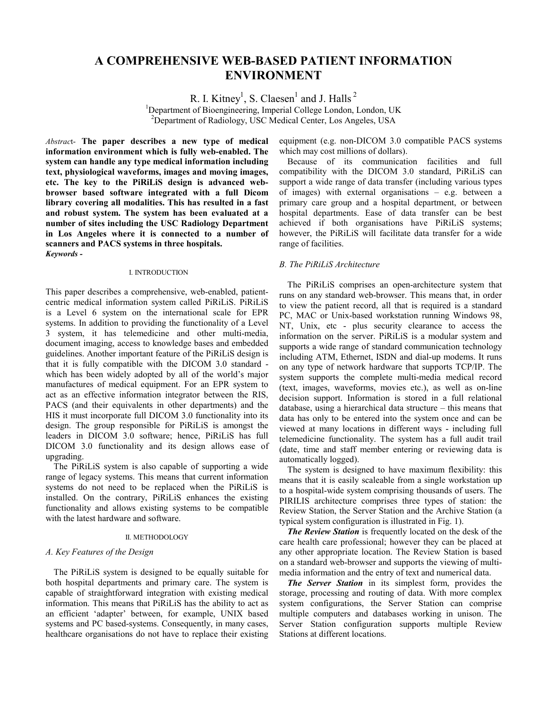# **A COMPREHENSIVE WEB-BASED PATIENT INFORMATION ENVIRONMENT**

R. I. Kitney<sup>1</sup>, S. Claesen<sup>1</sup> and J. Halls<sup>2</sup>

<sup>1</sup>Department of Bioengineering, Imperial College London, London, UK <sup>2</sup>Department of Radiology, USC Medical Center, Los Angeles, USA

*Abstrac*t- **The paper describes a new type of medical information environment which is fully web-enabled. The system can handle any type medical information including text, physiological waveforms, images and moving images, etc. The key to the PiRiLiS design is advanced webbrowser based software integrated with a full Dicom library covering all modalities. This has resulted in a fast and robust system. The system has been evaluated at a number of sites including the USC Radiology Department in Los Angeles where it is connected to a number of scanners and PACS systems in three hospitals.**  *Keywords -* 

#### I. INTRODUCTION

This paper describes a comprehensive, web-enabled, patientcentric medical information system called PiRiLiS. PiRiLiS is a Level 6 system on the international scale for EPR systems. In addition to providing the functionality of a Level 3 system, it has telemedicine and other multi-media, document imaging, access to knowledge bases and embedded guidelines. Another important feature of the PiRiLiS design is that it is fully compatible with the DICOM 3.0 standard which has been widely adopted by all of the world's major manufactures of medical equipment. For an EPR system to act as an effective information integrator between the RIS, PACS (and their equivalents in other departments) and the HIS it must incorporate full DICOM 3.0 functionality into its design. The group responsible for PiRiLiS is amongst the leaders in DICOM 3.0 software; hence, PiRiLiS has full DICOM 3.0 functionality and its design allows ease of upgrading.

The PiRiLiS system is also capable of supporting a wide range of legacy systems. This means that current information systems do not need to be replaced when the PiRiLiS is installed. On the contrary, PiRiLiS enhances the existing functionality and allows existing systems to be compatible with the latest hardware and software.

# II. METHODOLOGY

## *A. Key Features of the Design*

The PiRiLiS system is designed to be equally suitable for both hospital departments and primary care. The system is capable of straightforward integration with existing medical information. This means that PiRiLiS has the ability to act as an efficient 'adapter' between, for example, UNIX based systems and PC based-systems. Consequently, in many cases, healthcare organisations do not have to replace their existing equipment (e.g. non-DICOM 3.0 compatible PACS systems which may cost millions of dollars).

Because of its communication facilities and full compatibility with the DICOM 3.0 standard, PiRiLiS can support a wide range of data transfer (including various types of images) with external organisations – e.g. between a primary care group and a hospital department, or between hospital departments. Ease of data transfer can be best achieved if both organisations have PiRiLiS systems; however, the PiRiLiS will facilitate data transfer for a wide range of facilities.

# *B. The PiRiLiS Architecture*

The PiRiLiS comprises an open-architecture system that runs on any standard web-browser. This means that, in order to view the patient record, all that is required is a standard PC, MAC or Unix-based workstation running Windows 98, NT, Unix, etc - plus security clearance to access the information on the server. PiRiLiS is a modular system and supports a wide range of standard communication technology including ATM, Ethernet, ISDN and dial-up modems. It runs on any type of network hardware that supports TCP/IP. The system supports the complete multi-media medical record (text, images, waveforms, movies etc.), as well as on-line decision support. Information is stored in a full relational database, using a hierarchical data structure – this means that data has only to be entered into the system once and can be viewed at many locations in different ways - including full telemedicine functionality. The system has a full audit trail (date, time and staff member entering or reviewing data is automatically logged).

The system is designed to have maximum flexibility: this means that it is easily scaleable from a single workstation up to a hospital-wide system comprising thousands of users. The PIRILIS architecture comprises three types of station: the Review Station, the Server Station and the Archive Station (a typical system configuration is illustrated in Fig. 1).

*The Review Station* is frequently located on the desk of the care health care professional; however they can be placed at any other appropriate location. The Review Station is based on a standard web-browser and supports the viewing of multimedia information and the entry of text and numerical data.

*The Server Station* in its simplest form, provides the storage, processing and routing of data. With more complex system configurations, the Server Station can comprise multiple computers and databases working in unison. The Server Station configuration supports multiple Review Stations at different locations.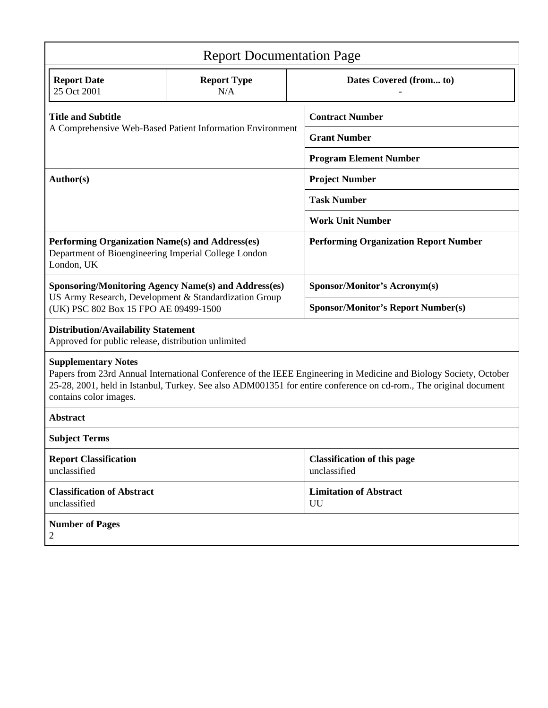| <b>Report Documentation Page</b>                                                                                                                                                                                                                                                               |                           |                                                    |                                     |  |
|------------------------------------------------------------------------------------------------------------------------------------------------------------------------------------------------------------------------------------------------------------------------------------------------|---------------------------|----------------------------------------------------|-------------------------------------|--|
| <b>Report Date</b><br>25 Oct 2001                                                                                                                                                                                                                                                              | <b>Report Type</b><br>N/A |                                                    | Dates Covered (from to)             |  |
| <b>Title and Subtitle</b><br>A Comprehensive Web-Based Patient Information Environment                                                                                                                                                                                                         |                           | <b>Contract Number</b>                             |                                     |  |
|                                                                                                                                                                                                                                                                                                |                           |                                                    | <b>Grant Number</b>                 |  |
|                                                                                                                                                                                                                                                                                                |                           | <b>Program Element Number</b>                      |                                     |  |
| Author(s)                                                                                                                                                                                                                                                                                      |                           | <b>Project Number</b>                              |                                     |  |
|                                                                                                                                                                                                                                                                                                |                           | <b>Task Number</b>                                 |                                     |  |
|                                                                                                                                                                                                                                                                                                |                           | <b>Work Unit Number</b>                            |                                     |  |
| Performing Organization Name(s) and Address(es)<br>Department of Bioengineering Imperial College London<br>London, UK                                                                                                                                                                          |                           | <b>Performing Organization Report Number</b>       |                                     |  |
| <b>Sponsoring/Monitoring Agency Name(s) and Address(es)</b>                                                                                                                                                                                                                                    |                           |                                                    | Sponsor/Monitor's Acronym(s)        |  |
| US Army Research, Development & Standardization Group<br>(UK) PSC 802 Box 15 FPO AE 09499-1500                                                                                                                                                                                                 |                           | <b>Sponsor/Monitor's Report Number(s)</b>          |                                     |  |
| <b>Distribution/Availability Statement</b><br>Approved for public release, distribution unlimited                                                                                                                                                                                              |                           |                                                    |                                     |  |
| <b>Supplementary Notes</b><br>Papers from 23rd Annual International Conference of the IEEE Engineering in Medicine and Biology Society, October<br>25-28, 2001, held in Istanbul, Turkey. See also ADM001351 for entire conference on cd-rom., The original document<br>contains color images. |                           |                                                    |                                     |  |
| <b>Abstract</b>                                                                                                                                                                                                                                                                                |                           |                                                    |                                     |  |
| <b>Subject Terms</b>                                                                                                                                                                                                                                                                           |                           |                                                    |                                     |  |
| <b>Report Classification</b><br>unclassified                                                                                                                                                                                                                                                   |                           | <b>Classification of this page</b><br>unclassified |                                     |  |
| <b>Classification of Abstract</b><br>unclassified                                                                                                                                                                                                                                              |                           |                                                    | <b>Limitation of Abstract</b><br>UU |  |
| <b>Number of Pages</b><br>2                                                                                                                                                                                                                                                                    |                           |                                                    |                                     |  |